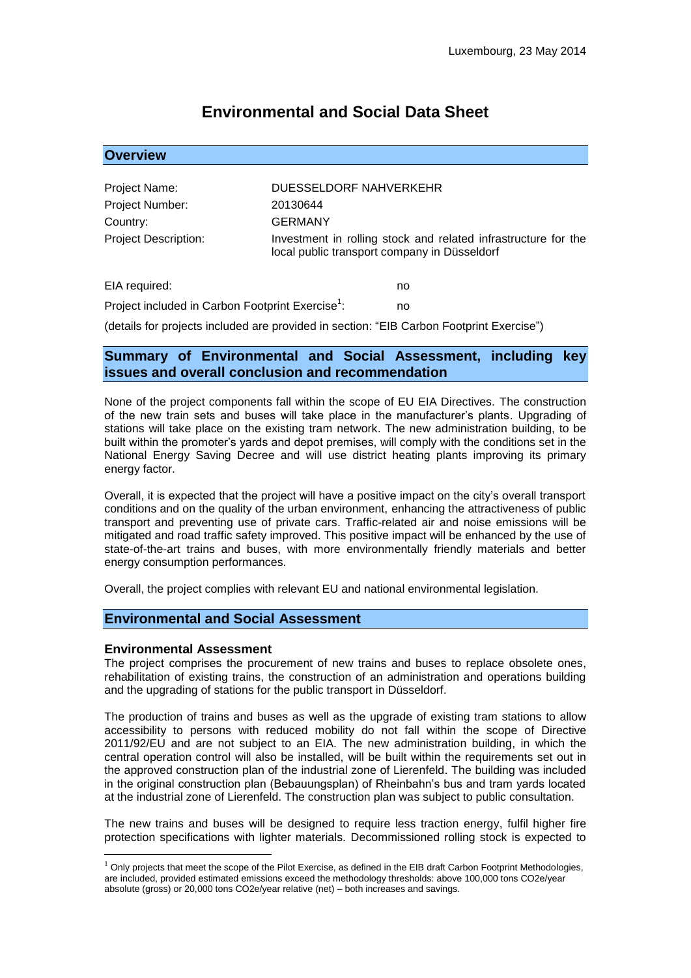# **Environmental and Social Data Sheet**

| <b>Overview</b>             |                                                                                                                |
|-----------------------------|----------------------------------------------------------------------------------------------------------------|
|                             |                                                                                                                |
| Project Name:               | DUESSELDORF NAHVERKEHR                                                                                         |
| Project Number:             | 20130644                                                                                                       |
| Country:                    | GERMANY                                                                                                        |
| <b>Project Description:</b> | Investment in rolling stock and related infrastructure for the<br>local public transport company in Düsseldorf |
| EIA required:               | no                                                                                                             |

Project included in Carbon Footprint Exercise<sup>1</sup>: : no

(details for projects included are provided in section: "EIB Carbon Footprint Exercise")

# **Summary of Environmental and Social Assessment, including key issues and overall conclusion and recommendation**

None of the project components fall within the scope of EU EIA Directives. The construction of the new train sets and buses will take place in the manufacturer's plants. Upgrading of stations will take place on the existing tram network. The new administration building, to be built within the promoter's yards and depot premises, will comply with the conditions set in the National Energy Saving Decree and will use district heating plants improving its primary energy factor.

Overall, it is expected that the project will have a positive impact on the city's overall transport conditions and on the quality of the urban environment, enhancing the attractiveness of public transport and preventing use of private cars. Traffic-related air and noise emissions will be mitigated and road traffic safety improved. This positive impact will be enhanced by the use of state-of-the-art trains and buses, with more environmentally friendly materials and better energy consumption performances.

Overall, the project complies with relevant EU and national environmental legislation.

### **Environmental and Social Assessment**

#### **Environmental Assessment**

1

The project comprises the procurement of new trains and buses to replace obsolete ones, rehabilitation of existing trains, the construction of an administration and operations building and the upgrading of stations for the public transport in Düsseldorf.

The production of trains and buses as well as the upgrade of existing tram stations to allow accessibility to persons with reduced mobility do not fall within the scope of Directive  $2011/92/EU$  and are not subject to an EIA. The new administration building, in which the central operation control will also be installed, will be built within the requirements set out in the approved construction plan of the industrial zone of Lierenfeld. The building was included in the original construction plan (Bebauungsplan) of Rheinbahn's bus and tram yards located at the industrial zone of Lierenfeld. The construction plan was subject to public consultation.

The new trains and buses will be designed to require less traction energy, fulfil higher fire protection specifications with lighter materials. Decommissioned rolling stock is expected to

 $1$  Only projects that meet the scope of the Pilot Exercise, as defined in the EIB draft Carbon Footprint Methodologies, are included, provided estimated emissions exceed the methodology thresholds: above 100,000 tons CO2e/year absolute (gross) or 20,000 tons CO2e/year relative (net) – both increases and savings.